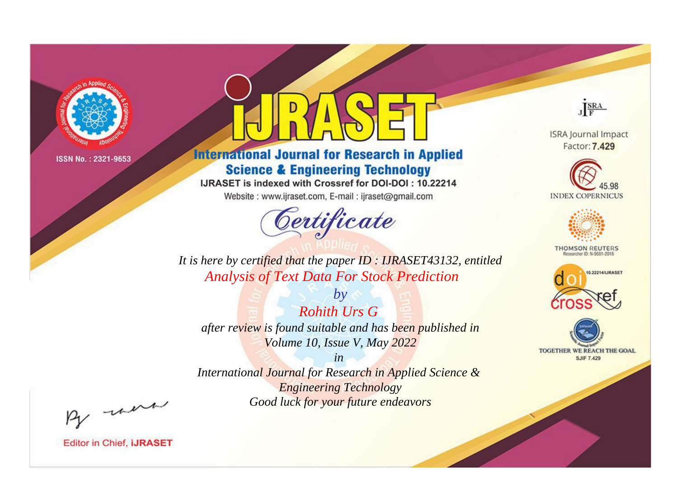

# **International Journal for Research in Applied Science & Engineering Technology**

IJRASET is indexed with Crossref for DOI-DOI: 10.22214

Website: www.ijraset.com, E-mail: ijraset@gmail.com



JERA

**ISRA Journal Impact** Factor: 7.429





**THOMSON REUTERS** 



TOGETHER WE REACH THE GOAL **SJIF 7.429** 

It is here by certified that the paper ID: IJRASET43132, entitled **Analysis of Text Data For Stock Prediction** 

 $b\nu$ **Rohith Urs G** after review is found suitable and has been published in Volume 10, Issue V, May 2022

 $in$ International Journal for Research in Applied Science & **Engineering Technology** Good luck for your future endeavors

By morn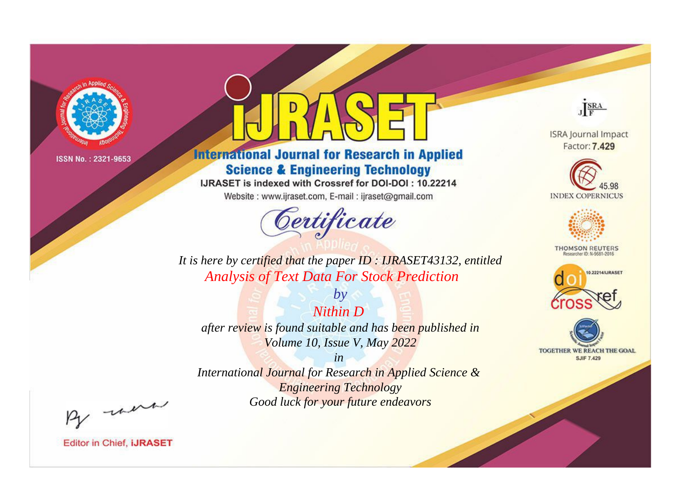

# **International Journal for Research in Applied Science & Engineering Technology**

IJRASET is indexed with Crossref for DOI-DOI: 10.22214

Website: www.ijraset.com, E-mail: ijraset@gmail.com



JERA

**ISRA Journal Impact** Factor: 7.429





**THOMSON REUTERS** 



TOGETHER WE REACH THE GOAL **SJIF 7.429** 

*It is here by certified that the paper ID : IJRASET43132, entitled Analysis of Text Data For Stock Prediction*

*Nithin D after review is found suitable and has been published in Volume 10, Issue V, May 2022*

*by*

*in* 

*International Journal for Research in Applied Science & Engineering Technology Good luck for your future endeavors*

By morn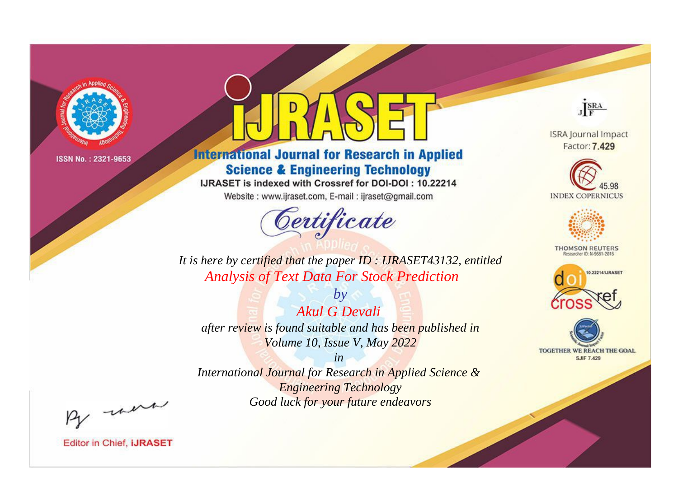

# **International Journal for Research in Applied Science & Engineering Technology**

IJRASET is indexed with Crossref for DOI-DOI: 10.22214

Website: www.ijraset.com, E-mail: ijraset@gmail.com



JERA

**ISRA Journal Impact** Factor: 7.429





**THOMSON REUTERS** 



TOGETHER WE REACH THE GOAL **SJIF 7.429** 

*It is here by certified that the paper ID : IJRASET43132, entitled Analysis of Text Data For Stock Prediction*

*by Akul G Devali after review is found suitable and has been published in Volume 10, Issue V, May 2022*

*in* 

*International Journal for Research in Applied Science & Engineering Technology Good luck for your future endeavors*

By morn